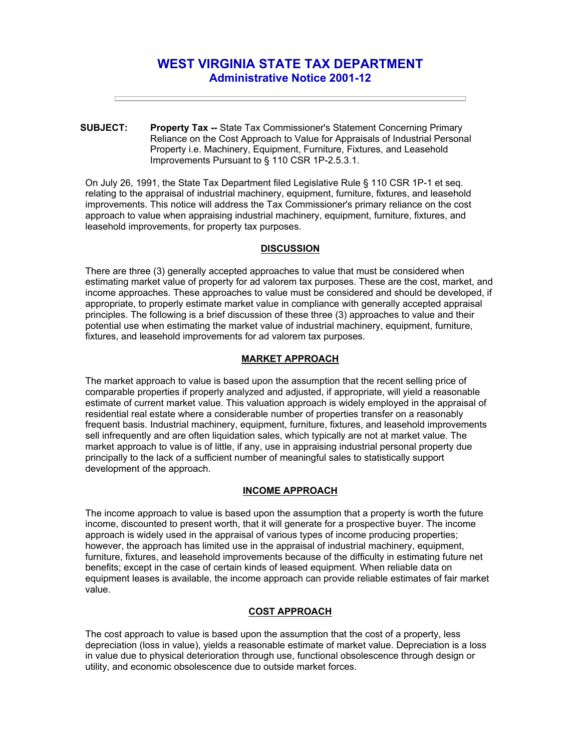# **WEST VIRGINIA STATE TAX DEPARTMENT Administrative Notice 2001-12**

**SUBJECT: Property Tax --** State Tax Commissioner's Statement Concerning Primary Reliance on the Cost Approach to Value for Appraisals of Industrial Personal Property i.e. Machinery, Equipment, Furniture, Fixtures, and Leasehold Improvements Pursuant to § 110 CSR 1P-2.5.3.1.

On July 26, 1991, the State Tax Department filed Legislative Rule § 110 CSR 1P-1 et seq. relating to the appraisal of industrial machinery, equipment, furniture, fixtures, and leasehold improvements. This notice will address the Tax Commissioner's primary reliance on the cost approach to value when appraising industrial machinery, equipment, furniture, fixtures, and leasehold improvements, for property tax purposes.

## **DISCUSSION**

There are three (3) generally accepted approaches to value that must be considered when estimating market value of property for ad valorem tax purposes. These are the cost, market, and income approaches. These approaches to value must be considered and should be developed, if appropriate, to properly estimate market value in compliance with generally accepted appraisal principles. The following is a brief discussion of these three (3) approaches to value and their potential use when estimating the market value of industrial machinery, equipment, furniture, fixtures, and leasehold improvements for ad valorem tax purposes.

## **MARKET APPROACH**

The market approach to value is based upon the assumption that the recent selling price of comparable properties if properly analyzed and adjusted, if appropriate, will yield a reasonable estimate of current market value. This valuation approach is widely employed in the appraisal of residential real estate where a considerable number of properties transfer on a reasonably frequent basis. Industrial machinery, equipment, furniture, fixtures, and leasehold improvements sell infrequently and are often liquidation sales, which typically are not at market value. The market approach to value is of little, if any, use in appraising industrial personal property due principally to the lack of a sufficient number of meaningful sales to statistically support development of the approach.

## **INCOME APPROACH**

The income approach to value is based upon the assumption that a property is worth the future income, discounted to present worth, that it will generate for a prospective buyer. The income approach is widely used in the appraisal of various types of income producing properties; however, the approach has limited use in the appraisal of industrial machinery, equipment, furniture, fixtures, and leasehold improvements because of the difficulty in estimating future net benefits; except in the case of certain kinds of leased equipment. When reliable data on equipment leases is available, the income approach can provide reliable estimates of fair market value.

## **COST APPROACH**

The cost approach to value is based upon the assumption that the cost of a property, less depreciation (loss in value), yields a reasonable estimate of market value. Depreciation is a loss in value due to physical deterioration through use, functional obsolescence through design or utility, and economic obsolescence due to outside market forces.